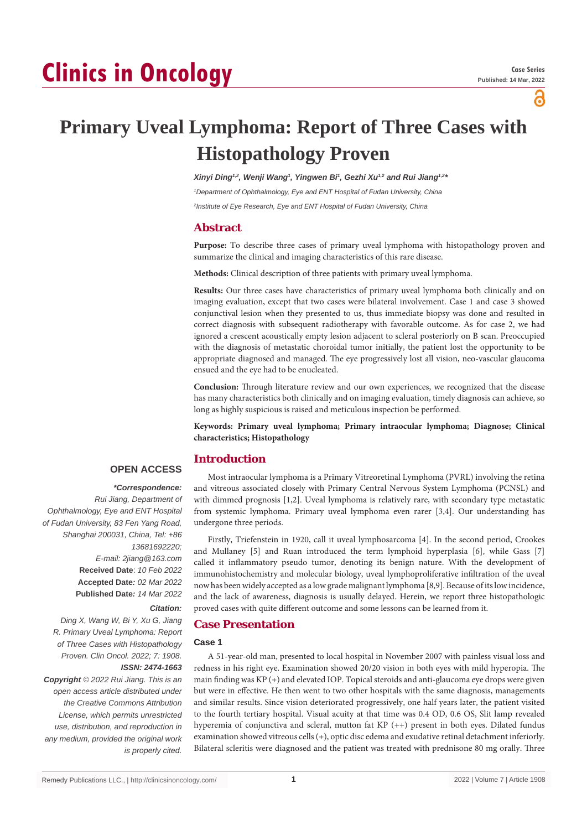# **Clinics in Oncology**

ဥ

# **Primary Uveal Lymphoma: Report of Three Cases with Histopathology Proven**

*Xinyi Ding1,2, Wenji Wang1 , Yingwen Bi1 , Gezhi Xu1,2 and Rui Jiang1,2\**

*1 Department of Ophthalmology, Eye and ENT Hospital of Fudan University, China*

*2 Institute of Eye Research, Eye and ENT Hospital of Fudan University, China*

## **Abstract**

**Purpose:** To describe three cases of primary uveal lymphoma with histopathology proven and summarize the clinical and imaging characteristics of this rare disease.

**Methods:** Clinical description of three patients with primary uveal lymphoma.

**Results:** Our three cases have characteristics of primary uveal lymphoma both clinically and on imaging evaluation, except that two cases were bilateral involvement. Case 1 and case 3 showed conjunctival lesion when they presented to us, thus immediate biopsy was done and resulted in correct diagnosis with subsequent radiotherapy with favorable outcome. As for case 2, we had ignored a crescent acoustically empty lesion adjacent to scleral posteriorly on B scan. Preoccupied with the diagnosis of metastatic choroidal tumor initially, the patient lost the opportunity to be appropriate diagnosed and managed. The eye progressively lost all vision, neo-vascular glaucoma ensued and the eye had to be enucleated.

**Conclusion:** Through literature review and our own experiences, we recognized that the disease has many characteristics both clinically and on imaging evaluation, timely diagnosis can achieve, so long as highly suspicious is raised and meticulous inspection be performed.

**Keywords: Primary uveal lymphoma; Primary intraocular lymphoma; Diagnose; Clinical characteristics; Histopathology**

# **Introduction**

# **OPEN ACCESS**

#### *\*Correspondence:*

*Rui Jiang, Department of Ophthalmology, Eye and ENT Hospital of Fudan University, 83 Fen Yang Road, Shanghai 200031, China, Tel: +86 13681692220; E-mail: 2jiang@163.com* **Received Date**: *10 Feb 2022* **Accepted Date***: 02 Mar 2022* **Published Date***: 14 Mar 2022*

# *Citation:*

*Ding X, Wang W, Bi Y, Xu G, Jiang R. Primary Uveal Lymphoma: Report of Three Cases with Histopathology Proven. Clin Oncol. 2022; 7: 1908. ISSN: 2474-1663 Copyright © 2022 Rui Jiang. This is an open access article distributed under the Creative Commons Attribution License, which permits unrestricted* 

*use, distribution, and reproduction in any medium, provided the original work is properly cited.*

Most intraocular lymphoma is a Primary Vitreoretinal Lymphoma (PVRL) involving the retina and vitreous associated closely with Primary Central Nervous System Lymphoma (PCNSL) and with dimmed prognosis [1,2]. Uveal lymphoma is relatively rare, with secondary type metastatic from systemic lymphoma. Primary uveal lymphoma even rarer [3,4]. Our understanding has undergone three periods.

Firstly, Triefenstein in 1920, call it uveal lymphosarcoma [4]. In the second period, Crookes and Mullaney [5] and Ruan introduced the term lymphoid hyperplasia [6], while Gass [7] called it inflammatory pseudo tumor, denoting its benign nature. With the development of immunohistochemistry and molecular biology, uveal lymphoproliferative infiltration of the uveal now has been widely accepted as a low grade malignant lymphoma [8,9]. Because of its low incidence, and the lack of awareness, diagnosis is usually delayed. Herein, we report three histopathologic proved cases with quite different outcome and some lessons can be learned from it.

# **Case Presentation**

#### **Case 1**

A 51-year-old man, presented to local hospital in November 2007 with painless visual loss and redness in his right eye. Examination showed 20/20 vision in both eyes with mild hyperopia. The main finding was KP (+) and elevated IOP. Topical steroids and anti-glaucoma eye drops were given but were in effective. He then went to two other hospitals with the same diagnosis, managements and similar results. Since vision deteriorated progressively, one half years later, the patient visited to the fourth tertiary hospital. Visual acuity at that time was 0.4 OD, 0.6 OS, Slit lamp revealed hyperemia of conjunctiva and scleral, mutton fat KP (++) present in both eyes. Dilated fundus examination showed vitreous cells (+), optic disc edema and exudative retinal detachment inferiorly. Bilateral scleritis were diagnosed and the patient was treated with prednisone 80 mg orally. Three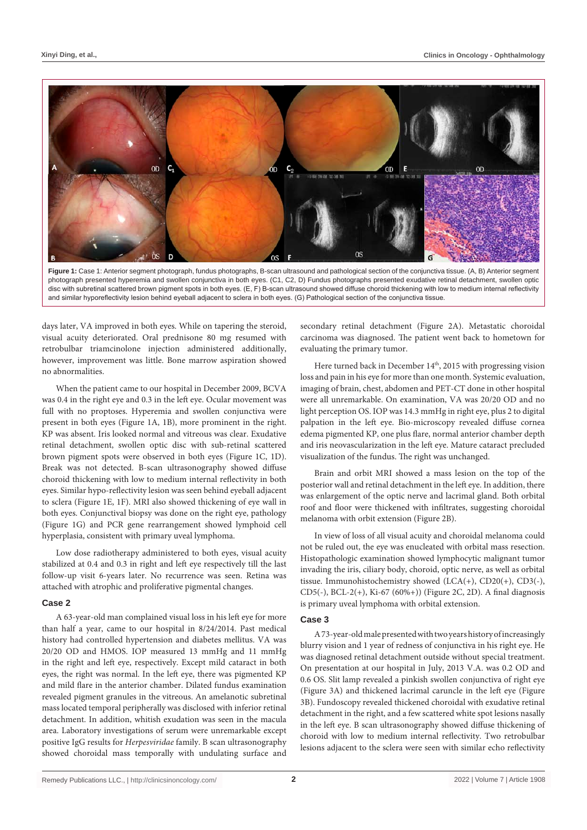

**Figure 1:** Case 1: Anterior segment photograph, fundus photographs, B-scan ultrasound and pathological section of the conjunctiva tissue. (A, B) Anterior segment photograph presented hyperemia and swollen conjunctiva in both eyes. (C1, C2, D) Fundus photographs presented exudative retinal detachment, swollen optic disc with subretinal scattered brown pigment spots in both eyes. (E, F) B-scan ultrasound showed diffuse choroid thickening with low to medium internal reflectivity and similar hyporeflectivity lesion behind eyeball adjacent to sclera in both eyes. (G) Pathological section of the conjunctiva tissue.

days later, VA improved in both eyes. While on tapering the steroid, visual acuity deteriorated. Oral prednisone 80 mg resumed with retrobulbar triamcinolone injection administered additionally, however, improvement was little. Bone marrow aspiration showed no abnormalities.

When the patient came to our hospital in December 2009, BCVA was 0.4 in the right eye and 0.3 in the left eye. Ocular movement was full with no proptoses. Hyperemia and swollen conjunctiva were present in both eyes (Figure 1A, 1B), more prominent in the right. KP was absent. Iris looked normal and vitreous was clear. Exudative retinal detachment, swollen optic disc with sub-retinal scattered brown pigment spots were observed in both eyes (Figure 1C, 1D). Break was not detected. B-scan ultrasonography showed diffuse choroid thickening with low to medium internal reflectivity in both eyes. Similar hypo-reflectivity lesion was seen behind eyeball adjacent to sclera (Figure 1E, 1F). MRI also showed thickening of eye wall in both eyes. Conjunctival biopsy was done on the right eye, pathology (Figure 1G) and PCR gene rearrangement showed lymphoid cell hyperplasia, consistent with primary uveal lymphoma.

Low dose radiotherapy administered to both eyes, visual acuity stabilized at 0.4 and 0.3 in right and left eye respectively till the last follow-up visit 6-years later. No recurrence was seen. Retina was attached with atrophic and proliferative pigmental changes.

#### **Case 2**

A 63-year-old man complained visual loss in his left eye for more than half a year, came to our hospital in 8/24/2014. Past medical history had controlled hypertension and diabetes mellitus. VA was 20/20 OD and HMOS. IOP measured 13 mmHg and 11 mmHg in the right and left eye, respectively. Except mild cataract in both eyes, the right was normal. In the left eye, there was pigmented KP and mild flare in the anterior chamber. Dilated fundus examination revealed pigment granules in the vitreous. An amelanotic subretinal mass located temporal peripherally was disclosed with inferior retinal detachment. In addition, whitish exudation was seen in the macula area. Laboratory investigations of serum were unremarkable except positive IgG results for *Herpesviridae* family. B scan ultrasonography showed choroidal mass temporally with undulating surface and

secondary retinal detachment (Figure 2A). Metastatic choroidal carcinoma was diagnosed. The patient went back to hometown for evaluating the primary tumor.

Here turned back in December 14<sup>th</sup>, 2015 with progressing vision loss and pain in his eye for more than one month. Systemic evaluation, imaging of brain, chest, abdomen and PET-CT done in other hospital were all unremarkable. On examination, VA was 20/20 OD and no light perception OS. IOP was 14.3 mmHg in right eye, plus 2 to digital palpation in the left eye. Bio-microscopy revealed diffuse cornea edema pigmented KP, one plus flare, normal anterior chamber depth and iris neovascularization in the left eye. Mature cataract precluded visualization of the fundus. The right was unchanged.

Brain and orbit MRI showed a mass lesion on the top of the posterior wall and retinal detachment in the left eye. In addition, there was enlargement of the optic nerve and lacrimal gland. Both orbital roof and floor were thickened with infiltrates, suggesting choroidal melanoma with orbit extension (Figure 2B).

In view of loss of all visual acuity and choroidal melanoma could not be ruled out, the eye was enucleated with orbital mass resection. Histopathologic examination showed lymphocytic malignant tumor invading the iris, ciliary body, choroid, optic nerve, as well as orbital tissue. Immunohistochemistry showed (LCA(+), CD20(+), CD3(-), CD5(-), BCL-2(+), Ki-67 (60%+)) (Figure 2C, 2D). A final diagnosis is primary uveal lymphoma with orbital extension.

#### **Case 3**

A 73-year-old male presented with two years history of increasingly blurry vision and 1 year of redness of conjunctiva in his right eye. He was diagnosed retinal detachment outside without special treatment. On presentation at our hospital in July, 2013 V.A. was 0.2 OD and 0.6 OS. Slit lamp revealed a pinkish swollen conjunctiva of right eye (Figure 3A) and thickened lacrimal caruncle in the left eye (Figure 3B). Fundoscopy revealed thickened choroidal with exudative retinal detachment in the right, and a few scattered white spot lesions nasally in the left eye. B scan ultrasonography showed diffuse thickening of choroid with low to medium internal reflectivity. Two retrobulbar lesions adjacent to the sclera were seen with similar echo reflectivity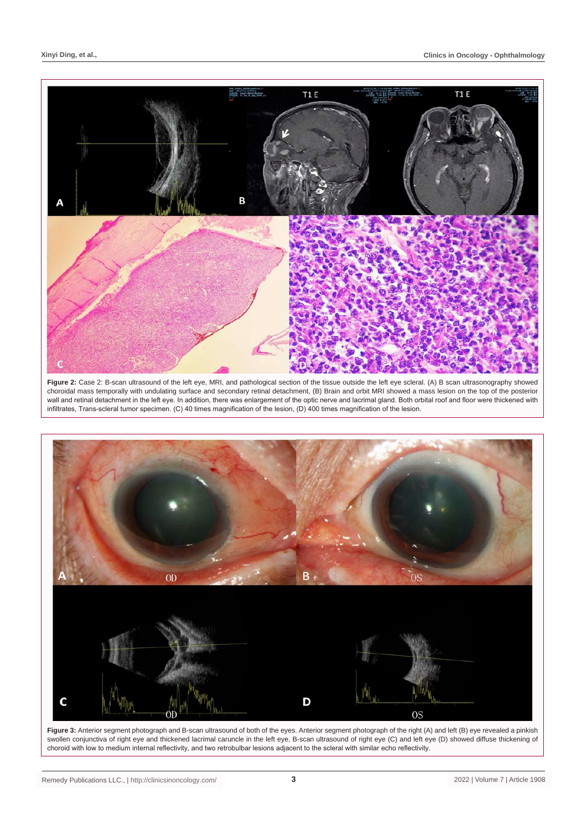

Figure 2: Case 2: B-scan ultrasound of the left eye, MRI, and pathological section of the tissue outside the left eye scleral. (A) B scan ultrasonography showed choroidal mass temporally with undulating surface and secondary retinal detachment, (B) Brain and orbit MRI showed a mass lesion on the top of the posterior wall and retinal detachment in the left eye. In addition, there was enlargement of the optic nerve and lacrimal gland. Both orbital roof and floor were thickened with infiltrates, Trans-scleral tumor specimen. (C) 40 times magnification of the lesion, (D) 400 times magnification of the lesion.



Figure 3: Anterior segment photograph and B-scan ultrasound of both of the eyes. Anterior segment photograph of the right (A) and left (B) eye revealed a pinkish swollen conjunctiva of right eye and thickened lacrimal caruncle in the left eye, B-scan ultrasound of right eye (C) and left eye (D) showed diffuse thickening of choroid with low to medium internal reflectivity, and two retrobulbar lesions adjacent to the scleral with similar echo reflectivity.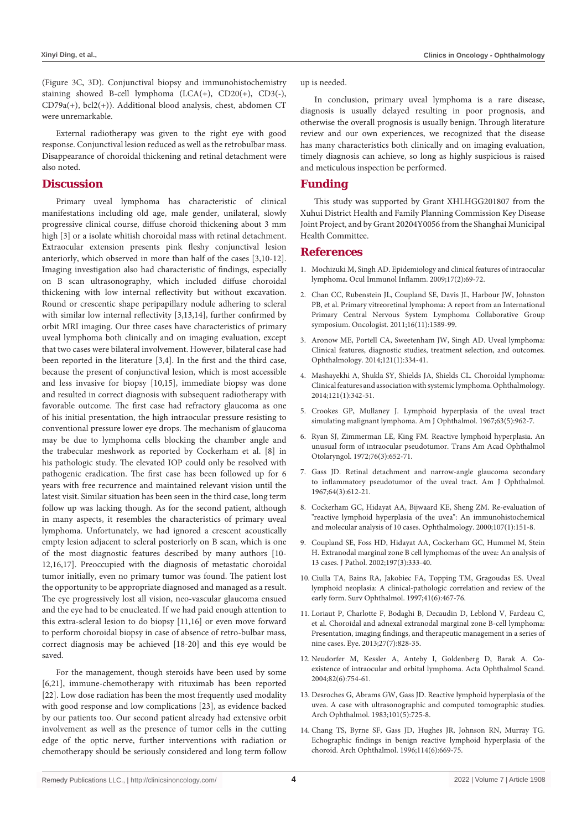(Figure 3C, 3D). Conjunctival biopsy and immunohistochemistry staining showed B-cell lymphoma (LCA(+), CD20(+), CD3(-), CD79a(+), bcl2(+)). Additional blood analysis, chest, abdomen CT were unremarkable.

External radiotherapy was given to the right eye with good response. Conjunctival lesion reduced as well as the retrobulbar mass. Disappearance of choroidal thickening and retinal detachment were also noted.

# **Discussion**

Primary uveal lymphoma has characteristic of clinical manifestations including old age, male gender, unilateral, slowly progressive clinical course, diffuse choroid thickening about 3 mm high [3] or a isolate whitish choroidal mass with retinal detachment. Extraocular extension presents pink fleshy conjunctival lesion anteriorly, which observed in more than half of the cases [3,10-12]. Imaging investigation also had characteristic of findings, especially on B scan ultrasonography, which included diffuse choroidal thickening with low internal reflectivity but without excavation. Round or crescentic shape peripapillary nodule adhering to scleral with similar low internal reflectivity [3,13,14], further confirmed by orbit MRI imaging. Our three cases have characteristics of primary uveal lymphoma both clinically and on imaging evaluation, except that two cases were bilateral involvement. However, bilateral case had been reported in the literature [3,4]. In the first and the third case, because the present of conjunctival lesion, which is most accessible and less invasive for biopsy [10,15], immediate biopsy was done and resulted in correct diagnosis with subsequent radiotherapy with favorable outcome. The first case had refractory glaucoma as one of his initial presentation, the high intraocular pressure resisting to conventional pressure lower eye drops. The mechanism of glaucoma may be due to lymphoma cells blocking the chamber angle and the trabecular meshwork as reported by Cockerham et al. [8] in his pathologic study. The elevated IOP could only be resolved with pathogenic eradication. The first case has been followed up for 6 years with free recurrence and maintained relevant vision until the latest visit. Similar situation has been seen in the third case, long term follow up was lacking though. As for the second patient, although in many aspects, it resembles the characteristics of primary uveal lymphoma. Unfortunately, we had ignored a crescent acoustically empty lesion adjacent to scleral posteriorly on B scan, which is one of the most diagnostic features described by many authors [10- 12,16,17]. Preoccupied with the diagnosis of metastatic choroidal tumor initially, even no primary tumor was found. The patient lost the opportunity to be appropriate diagnosed and managed as a result. The eye progressively lost all vision, neo-vascular glaucoma ensued and the eye had to be enucleated. If we had paid enough attention to this extra-scleral lesion to do biopsy [11,16] or even move forward to perform choroidal biopsy in case of absence of retro-bulbar mass, correct diagnosis may be achieved [18-20] and this eye would be saved.

For the management, though steroids have been used by some [6,21], immune-chemotherapy with rituximab has been reported [22]. Low dose radiation has been the most frequently used modality with good response and low complications [23], as evidence backed by our patients too. Our second patient already had extensive orbit involvement as well as the presence of tumor cells in the cutting edge of the optic nerve, further interventions with radiation or chemotherapy should be seriously considered and long term follow up is needed.

In conclusion, primary uveal lymphoma is a rare disease, diagnosis is usually delayed resulting in poor prognosis, and otherwise the overall prognosis is usually benign. Through literature review and our own experiences, we recognized that the disease has many characteristics both clinically and on imaging evaluation, timely diagnosis can achieve, so long as highly suspicious is raised and meticulous inspection be performed.

#### **Funding**

This study was supported by Grant XHLHGG201807 from the Xuhui District Health and Family Planning Commission Key Disease Joint Project, and by Grant 20204Y0056 from the Shanghai Municipal Health Committee.

### **References**

- 1. [Mochizuki M, Singh AD. Epidemiology and clinical features of intraocular](https://pubmed.ncbi.nlm.nih.gov/19412864/)  [lymphoma. Ocul Immunol Inflamm. 2009;17\(2\):69-72.](https://pubmed.ncbi.nlm.nih.gov/19412864/)
- 2. [Chan CC, Rubenstein JL, Coupland SE, Davis JL, Harbour JW, Johnston](https://pubmed.ncbi.nlm.nih.gov/22045784/)  [PB, et al. Primary vitreoretinal lymphoma: A report from an International](https://pubmed.ncbi.nlm.nih.gov/22045784/)  [Primary Central Nervous System Lymphoma Collaborative Group](https://pubmed.ncbi.nlm.nih.gov/22045784/)  [symposium. Oncologist. 2011;16\(11\):1589-99.](https://pubmed.ncbi.nlm.nih.gov/22045784/)
- 3. [Aronow ME, Portell CA, Sweetenham JW, Singh AD. Uveal lymphoma:](https://pubmed.ncbi.nlm.nih.gov/24144449/)  [Clinical features, diagnostic studies, treatment selection, and outcomes.](https://pubmed.ncbi.nlm.nih.gov/24144449/)  [Ophthalmology. 2014;121\(1\):334-41.](https://pubmed.ncbi.nlm.nih.gov/24144449/)
- 4. [Mashayekhi A, Shukla SY, Shields JA, Shields CL. Choroidal lymphoma:](https://pubmed.ncbi.nlm.nih.gov/23978622/)  [Clinical features and association with systemic lymphoma. Ophthalmology.](https://pubmed.ncbi.nlm.nih.gov/23978622/)  [2014;121\(1\):342-51.](https://pubmed.ncbi.nlm.nih.gov/23978622/)
- 5. [Crookes GP, Mullaney J. Lymphoid hyperplasia of the uveal tract](https://zh.booksc.eu/book/29775048/d3a2ef)  [simulating malignant lymphoma. Am J Ophthalmol. 1967;63\(5\):962-7.](https://zh.booksc.eu/book/29775048/d3a2ef)
- 6. [Ryan SJ, Zimmerman LE, King FM. Reactive lymphoid hyperplasia. An](https://pubmed.ncbi.nlm.nih.gov/4126438/)  [unusual form of intraocular pseudotumor. Trans Am Acad Ophthalmol](https://pubmed.ncbi.nlm.nih.gov/4126438/)  [Otolaryngol. 1972;76\(3\):652-71.](https://pubmed.ncbi.nlm.nih.gov/4126438/)
- 7. [Gass JD. Retinal detachment and narrow-angle glaucoma secondary](https://www.sciencedirect.com/science/article/abs/pii/0002939467905661)  [to inflammatory pseudotumor of the uveal tract. Am J Ophthalmol.](https://www.sciencedirect.com/science/article/abs/pii/0002939467905661)  [1967;64\(3\):612-21.](https://www.sciencedirect.com/science/article/abs/pii/0002939467905661)
- 8. [Cockerham GC, Hidayat AA, Bijwaard KE, Sheng ZM. Re-evaluation of](https://pubmed.ncbi.nlm.nih.gov/10647734/)  ["reactive lymphoid hyperplasia of the uvea": An immunohistochemical](https://pubmed.ncbi.nlm.nih.gov/10647734/)  [and molecular analysis of 10 cases. Ophthalmology. 2000;107\(1\):151-8.](https://pubmed.ncbi.nlm.nih.gov/10647734/)
- 9. [Coupland SE, Foss HD, Hidayat AA, Cockerham GC, Hummel M, Stein](https://pubmed.ncbi.nlm.nih.gov/12115879/)  [H. Extranodal marginal zone B cell lymphomas of the uvea: An analysis of](https://pubmed.ncbi.nlm.nih.gov/12115879/)  [13 cases. J Pathol. 2002;197\(3\):333-40.](https://pubmed.ncbi.nlm.nih.gov/12115879/)
- 10. [Ciulla TA, Bains RA, Jakobiec FA, Topping TM, Gragoudas ES. Uveal](https://www.surveyophthalmol.com/article/s0039-6257(97)00015-5/fulltext)  [lymphoid neoplasia: A clinical-pathologic correlation and review of the](https://www.surveyophthalmol.com/article/s0039-6257(97)00015-5/fulltext)  [early form. Surv Ophthalmol. 1997;41\(6\):467-76.](https://www.surveyophthalmol.com/article/s0039-6257(97)00015-5/fulltext)
- 11. [Loriaut P, Charlotte F, Bodaghi B, Decaudin D, Leblond V, Fardeau C,](https://pubmed.ncbi.nlm.nih.gov/23598677/)  [et al. Choroidal and adnexal extranodal marginal zone B-cell lymphoma:](https://pubmed.ncbi.nlm.nih.gov/23598677/)  [Presentation, imaging findings, and therapeutic management in a series of](https://pubmed.ncbi.nlm.nih.gov/23598677/)  [nine cases. Eye. 2013;27\(7\):828-35.](https://pubmed.ncbi.nlm.nih.gov/23598677/)
- 12. [Neudorfer M, Kessler A, Anteby I, Goldenberg D, Barak A. Co](https://pubmed.ncbi.nlm.nih.gov/15606477/)[existence of intraocular and orbital lymphoma. Acta Ophthalmol Scand.](https://pubmed.ncbi.nlm.nih.gov/15606477/)  [2004;82\(6\):754-61.](https://pubmed.ncbi.nlm.nih.gov/15606477/)
- 13. [Desroches G, Abrams GW, Gass JD. Reactive lymphoid hyperplasia of the](https://jamanetwork.com/journals/jamaophthalmology/article-abstract/634589)  [uvea. A case with ultrasonographic and computed tomographic studies.](https://jamanetwork.com/journals/jamaophthalmology/article-abstract/634589)  [Arch Ophthalmol. 1983;101\(5\):725-8.](https://jamanetwork.com/journals/jamaophthalmology/article-abstract/634589)
- 14. [Chang TS, Byrne SF, Gass JD, Hughes JR, Johnson RN, Murray TG.](https://pubmed.ncbi.nlm.nih.gov/8639077/)  [Echographic findings in benign reactive lymphoid hyperplasia of the](https://pubmed.ncbi.nlm.nih.gov/8639077/)  [choroid. Arch Ophthalmol. 1996;114\(6\):669-75.](https://pubmed.ncbi.nlm.nih.gov/8639077/)